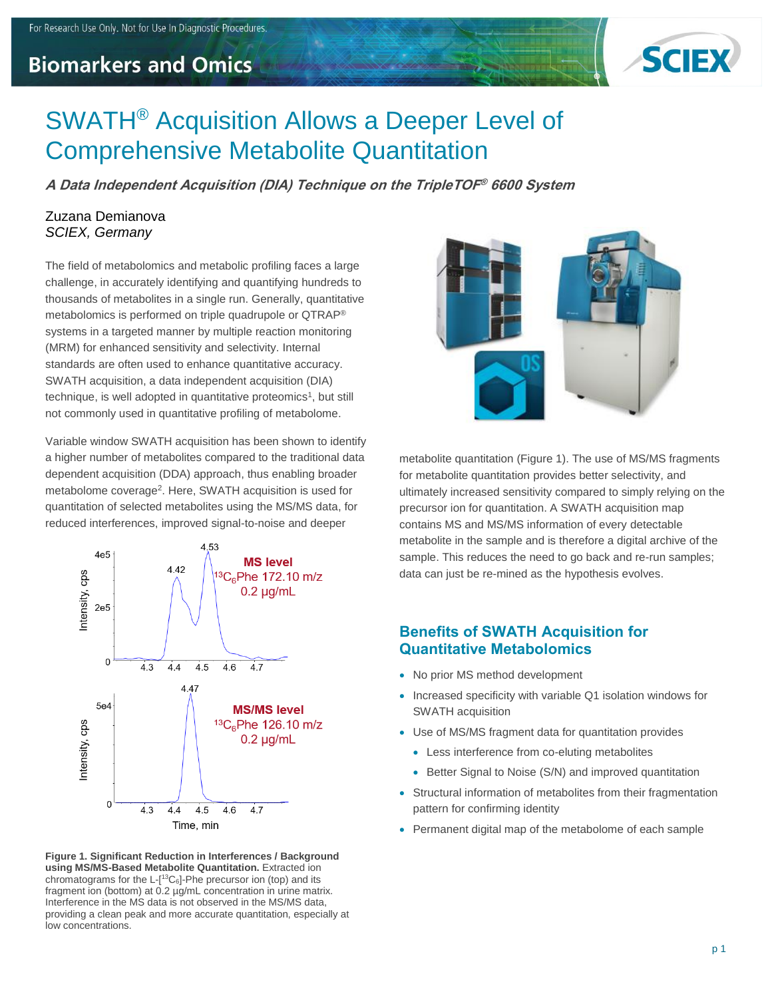## **Biomarkers and Omics**



# SWATH® Acquisition Allows a Deeper Level of Comprehensive Metabolite Quantitation

**A Data Independent Acquisition (DIA) Technique on the TripleTOF ® 6600 System**

#### Zuzana Demianova *SCIEX, Germany*

The field of metabolomics and metabolic profiling faces a large challenge, in accurately identifying and quantifying hundreds to thousands of metabolites in a single run. Generally, quantitative metabolomics is performed on triple quadrupole or QTRAP® systems in a targeted manner by multiple reaction monitoring (MRM) for enhanced sensitivity and selectivity. Internal standards are often used to enhance quantitative accuracy. SWATH acquisition, a data independent acquisition (DIA) technique, is well adopted in quantitative proteomics<sup>1</sup>, but still not commonly used in quantitative profiling of metabolome.

Variable window SWATH acquisition has been shown to identify a higher number of metabolites compared to the traditional data dependent acquisition (DDA) approach, thus enabling broader metabolome coverage<sup>2</sup>. Here, SWATH acquisition is used for quantitation of selected metabolites using the MS/MS data, for reduced interferences, improved signal-to-noise and deeper







metabolite quantitation (Figure 1). The use of MS/MS fragments for metabolite quantitation provides better selectivity, and ultimately increased sensitivity compared to simply relying on the precursor ion for quantitation. A SWATH acquisition map contains MS and MS/MS information of every detectable metabolite in the sample and is therefore a digital archive of the sample. This reduces the need to go back and re-run samples; data can just be re-mined as the hypothesis evolves.

#### **Benefits of SWATH Acquisition for Quantitative Metabolomics**

- No prior MS method development
- Increased specificity with variable Q1 isolation windows for SWATH acquisition
- Use of MS/MS fragment data for quantitation provides
	- Less interference from co-eluting metabolites
	- Better Signal to Noise (S/N) and improved quantitation
- Structural information of metabolites from their fragmentation pattern for confirming identity
- Permanent digital map of the metabolome of each sample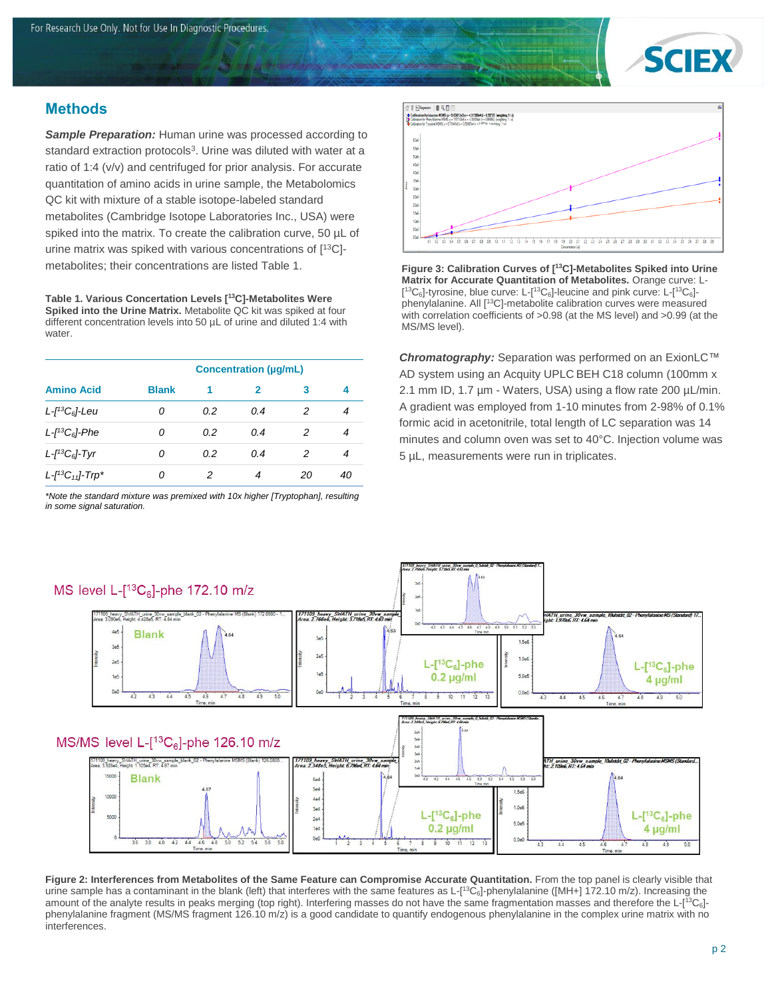

### **Methods**

*Sample Preparation:* Human urine was processed according to standard extraction protocols<sup>3</sup>. Urine was diluted with water at a ratio of 1:4 (v/v) and centrifuged for prior analysis. For accurate quantitation of amino acids in urine sample, the Metabolomics QC kit with mixture of a stable isotope-labeled standard metabolites (Cambridge Isotope Laboratories Inc., USA) were spiked into the matrix. To create the calibration curve, 50 µL of urine matrix was spiked with various concentrations of [ <sup>13</sup>C] metabolites; their concentrations are listed Table 1.

**Table 1. Various Concertation Levels [<sup>13</sup>C]-Metabolites Were Spiked into the Urine Matrix.** Metabolite QC kit was spiked at four different concentration levels into 50 µL of urine and diluted 1:4 with water.

| <b>Amino Acid</b>                            | <b>Concentration (µg/mL)</b> |     |     |    |    |
|----------------------------------------------|------------------------------|-----|-----|----|----|
|                                              | <b>Blank</b>                 | 1   | 2   | з  | 4  |
| $L$ -[ <sup>13</sup> C <sub>6</sub> ]-Leu    | Ω                            | 0.2 | 0.4 | 2  |    |
| $L$ - $I$ <sup>13</sup> C <sub>6</sub> ]-Phe | Ω                            | 0.2 | 0.4 | 2  | 4  |
| $L$ - $I$ <sup>13</sup> C <sub>6</sub> ]-Tyr | Ω                            | 0.2 | 0.4 | 2  | 4  |
| $L$ - $I^{13}C_{11}$ )-Trp*                  | n                            |     | 4   | 20 | 40 |

*\*Note the standard mixture was premixed with 10x higher [Tryptophan], resulting in some signal saturation.*



**Figure 3: Calibration Curves of [<sup>13</sup>C]-Metabolites Spiked into Urine Matrix for Accurate Quantitation of Metabolites.** Orange curve: L-  $[^{13}C_6]$ -tyrosine, blue curve: L- $[^{13}C_6]$ -leucine and pink curve: L- $[^{13}C_6]$ phenylalanine. All [<sup>13</sup>C]-metabolite calibration curves were measured with correlation coefficients of >0.98 (at the MS level) and >0.99 (at the MS/MS level).

*Chromatography:* Separation was performed on an ExionLC™ AD system using an Acquity UPLC BEH C18 column (100mm x 2.1 mm ID, 1.7 µm - Waters, USA) using a flow rate 200 µL/min. A gradient was employed from 1-10 minutes from 2-98% of 0.1% formic acid in acetonitrile, total length of LC separation was 14 minutes and column oven was set to 40°C. Injection volume was 5 µL, measurements were run in triplicates.



**Figure 2: Interferences from Metabolites of the Same Feature can Compromise Accurate Quantitation.** From the top panel is clearly visible that urine sample has a contaminant in the blank (left) that interferes with the same features as L-[<sup>13</sup>C<sub>6</sub>]-phenylalanine ([MH+] 172.10 m/z). Increasing the amount of the analyte results in peaks merging (top right). Interfering masses do not have the same fragmentation masses and therefore the L-[<sup>13</sup>C<sub>6</sub>]phenylalanine fragment (MS/MS fragment 126.10 m/z) is a good candidate to quantify endogenous phenylalanine in the complex urine matrix with no interferences.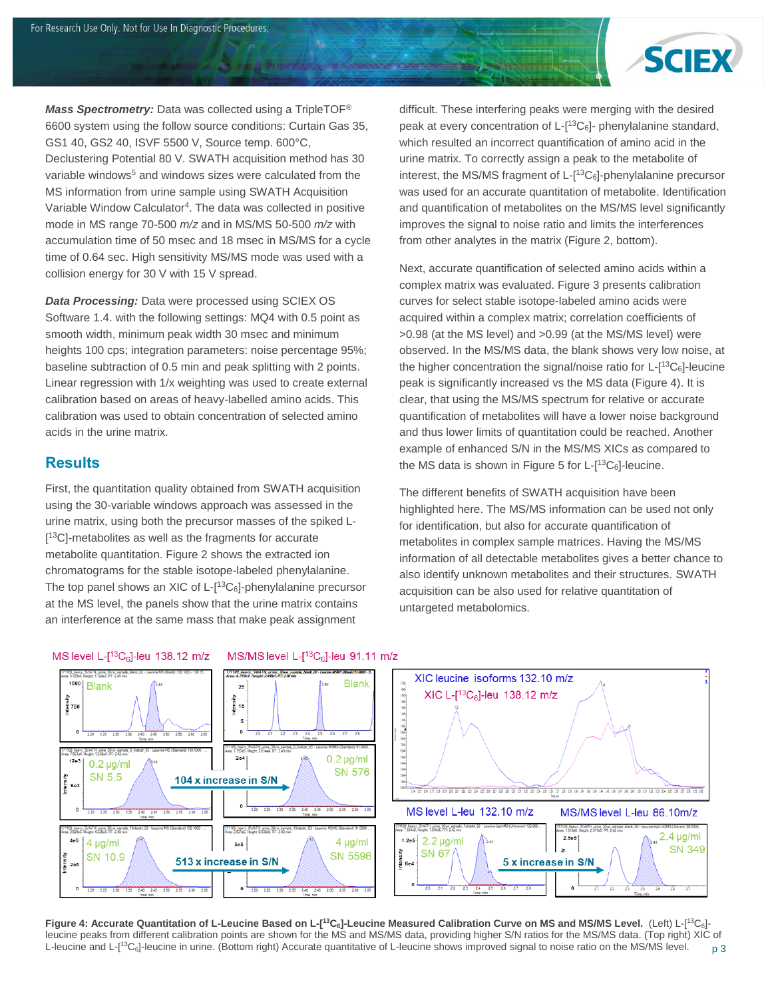

*Mass Spectrometry:* Data was collected using a TripleTOF® 6600 system using the follow source conditions: Curtain Gas 35, GS1 40, GS2 40, ISVF 5500 V, Source temp. 600°C, Declustering Potential 80 V. SWATH acquisition method has 30 variable windows<sup>5</sup> and windows sizes were calculated from the MS information from urine sample using SWATH Acquisition Variable Window Calculator<sup>4</sup>. The data was collected in positive mode in MS range 70-500 *m/z* and in MS/MS 50-500 *m/z* with accumulation time of 50 msec and 18 msec in MS/MS for a cycle time of 0.64 sec. High sensitivity MS/MS mode was used with a collision energy for 30 V with 15 V spread.

*Data Processing:* Data were processed using SCIEX OS Software 1.4. with the following settings: MQ4 with 0.5 point as smooth width, minimum peak width 30 msec and minimum heights 100 cps; integration parameters: noise percentage 95%; baseline subtraction of 0.5 min and peak splitting with 2 points. Linear regression with 1/x weighting was used to create external calibration based on areas of heavy-labelled amino acids. This calibration was used to obtain concentration of selected amino acids in the urine matrix.

#### **Results**

First, the quantitation quality obtained from SWATH acquisition using the 30-variable windows approach was assessed in the urine matrix, using both the precursor masses of the spiked L- [<sup>13</sup>C]-metabolites as well as the fragments for accurate metabolite quantitation. Figure 2 shows the extracted ion chromatograms for the stable isotope-labeled phenylalanine. The top panel shows an XIC of  $L$ - $[$ <sup>13</sup> $C<sub>6</sub>$ ]-phenylalanine precursor at the MS level, the panels show that the urine matrix contains an interference at the same mass that make peak assignment

difficult. These interfering peaks were merging with the desired peak at every concentration of  $L-[13C_6]$ - phenylalanine standard, which resulted an incorrect quantification of amino acid in the urine matrix. To correctly assign a peak to the metabolite of interest, the MS/MS fragment of L-[ <sup>13</sup>C6]-phenylalanine precursor was used for an accurate quantitation of metabolite. Identification and quantification of metabolites on the MS/MS level significantly improves the signal to noise ratio and limits the interferences from other analytes in the matrix (Figure 2, bottom).

Next, accurate quantification of selected amino acids within a complex matrix was evaluated. Figure 3 presents calibration curves for select stable isotope-labeled amino acids were acquired within a complex matrix; correlation coefficients of >0.98 (at the MS level) and >0.99 (at the MS/MS level) were observed. In the MS/MS data, the blank shows very low noise, at the higher concentration the signal/noise ratio for L-[ <sup>13</sup>C6]-leucine peak is significantly increased vs the MS data (Figure 4). It is clear, that using the MS/MS spectrum for relative or accurate quantification of metabolites will have a lower noise background and thus lower limits of quantitation could be reached. Another example of enhanced S/N in the MS/MS XICs as compared to the MS data is shown in Figure 5 for  $L$ - $[^{13}C_6]$ -leucine.

The different benefits of SWATH acquisition have been highlighted here. The MS/MS information can be used not only for identification, but also for accurate quantification of metabolites in complex sample matrices. Having the MS/MS information of all detectable metabolites gives a better chance to also identify unknown metabolites and their structures. SWATH acquisition can be also used for relative quantitation of untargeted metabolomics.

#### XIC leucine isoforms 132.10 m/z 1500 Blank **Blank** 25 网络独独的 医神经神经性肾经细胞  $XIC L-[13C_6]$ -leu 138.12 m/z 함<br>- 1750<br>- $15$ .<br>36 **2e4**  $0.2 \mu$ g/ml  $12e3$  $0.2 \mu g/ml$ **SN 576** SN 5.5 104 x increase in S/N 236 237 238 239 240 241 242 243 244 245 246 247 248 249 249 259 259 259 259 258 258 259 259 259  $\frac{1}{2.55}$  $250$  $-260$ MS level L-leu 132.10 m/z MS/MS level L-leu 86.10m/z Murine 30 vw sampl<br>איבור היה היה היה ה 2.4 µg/ml 2.5e5  $1.2e5$  $2.2 \mu g/ml$  $4e5$ 4 µg/ml  $4 \mu g/ml$  $5e5$ **SN 349**  $\geq$ Intensity<br>e4 SN 67 **SN 5596** SN 10.9 5 x increase in S/N 513 x increase in S/N  $2e$ 250 255 260  $250$

p 3 Figure 4: Accurate Quantitation of L-Leucine Based on L-[<sup>13</sup>C<sub>6</sub>]-Leucine Measured Calibration Curve on MS and MS/MS Level. (Left) L-[<sup>13</sup>C<sub>6</sub>]leucine peaks from different calibration points are shown for the MS and MS/MS data, providing higher S/N ratios for the MS/MS data. (Top right) XIC of L-leucine and L-[<sup>13</sup>C<sub>6</sub>]-leucine in urine. (Bottom right) Accurate quantitative of L-leucine shows improved signal to noise ratio on the MS/MS level.

#### MS/MS level L-[<sup>13</sup>C<sub>6</sub>]-leu 91.11 m/z MS level  $L-[13C_6]$ -leu 138.12 m/z